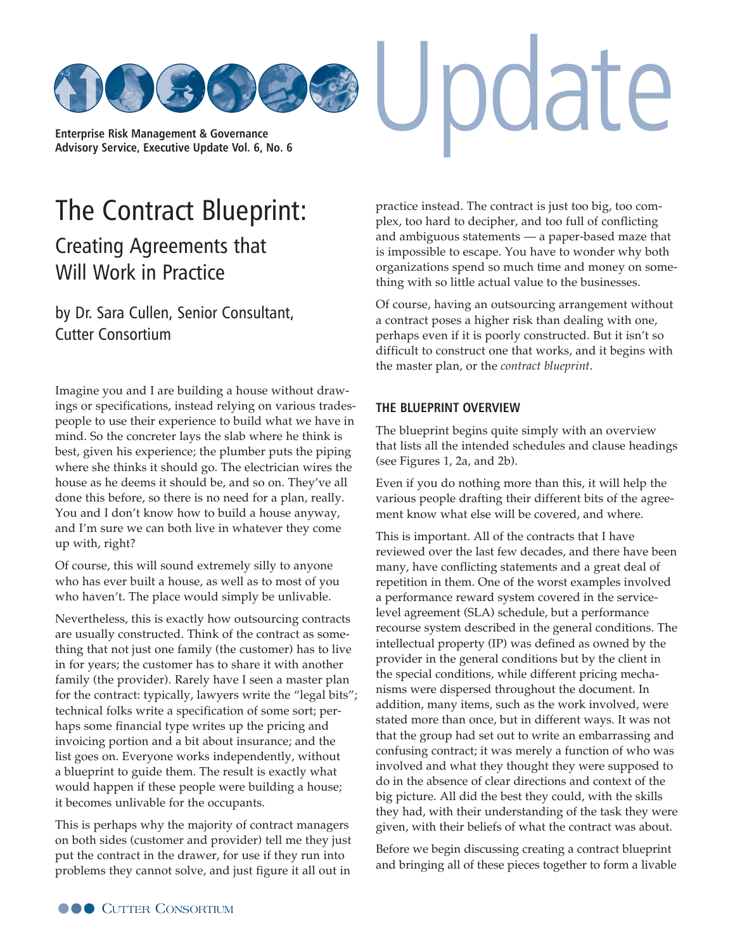

# [The Contract Blueprint:](http://www.cutter.com)

## Creating Agreements that Will Work in Practice

by Dr. Sara Cullen, Senior Consultant, Cutter Consortium

Imagine you and I are building a house without drawings or specifications, instead relying on various tradespeople to use their experience to build what we have in mind. So the concreter lays the slab where he think is best, given his experience; the plumber puts the piping where she thinks it should go. The electrician wires the house as he deems it should be, and so on. They've all done this before, so there is no need for a plan, really. You and I don't know how to build a house anyway, and I'm sure we can both live in whatever they come up with, right?

Of course, this will sound extremely silly to anyone who has ever built a house, as well as to most of you who haven't. The place would simply be unlivable.

Nevertheless, this is exactly how outsourcing contracts are usually constructed. Think of the contract as something that not just one family (the customer) has to live in for years; the customer has to share it with another family (the provider). Rarely have I seen a master plan for the contract: typically, lawyers write the "legal bits"; technical folks write a specification of some sort; perhaps some financial type writes up the pricing and invoicing portion and a bit about insurance; and the list goes on. Everyone works independently, without a blueprint to guide them. The result is exactly what would happen if these people were building a house; it becomes unlivable for the occupants.

This is perhaps why the majority of contract managers on both sides (customer and provider) tell me they just put the contract in the drawer, for use if they run into problems they cannot solve, and just figure it all out in

practice instead. The contract is just too big, too complex, too hard to decipher, and too full of conflicting and ambiguous statements — a paper-based maze that is impossible to escape. You have to wonder why both organizations spend so much time and money on something with so little actual value to the businesses.

pdate

Of course, having an outsourcing arrangement without a contract poses a higher risk than dealing with one, perhaps even if it is poorly constructed. But it isn't so difficult to construct one that works, and it begins with the master plan, or the *contract blueprint*.

## **THE BLUEPRINT OVERVIEW**

The blueprint begins quite simply with an overview that lists all the intended schedules and clause headings (see Figures 1, 2a, and 2b).

Even if you do nothing more than this, it will help the various people drafting their different bits of the agreement know what else will be covered, and where.

This is important. All of the contracts that I have reviewed over the last few decades, and there have been many, have conflicting statements and a great deal of repetition in them. One of the worst examples involved a performance reward system covered in the servicelevel agreement (SLA) schedule, but a performance recourse system described in the general conditions. The intellectual property (IP) was defined as owned by the provider in the general conditions but by the client in the special conditions, while different pricing mechanisms were dispersed throughout the document. In addition, many items, such as the work involved, were stated more than once, but in different ways. It was not that the group had set out to write an embarrassing and confusing contract; it was merely a function of who was involved and what they thought they were supposed to do in the absence of clear directions and context of the big picture. All did the best they could, with the skills they had, with their understanding of the task they were given, with their beliefs of what the contract was about.

Before we begin discussing creating a contract blueprint and bringing all of these pieces together to form a livable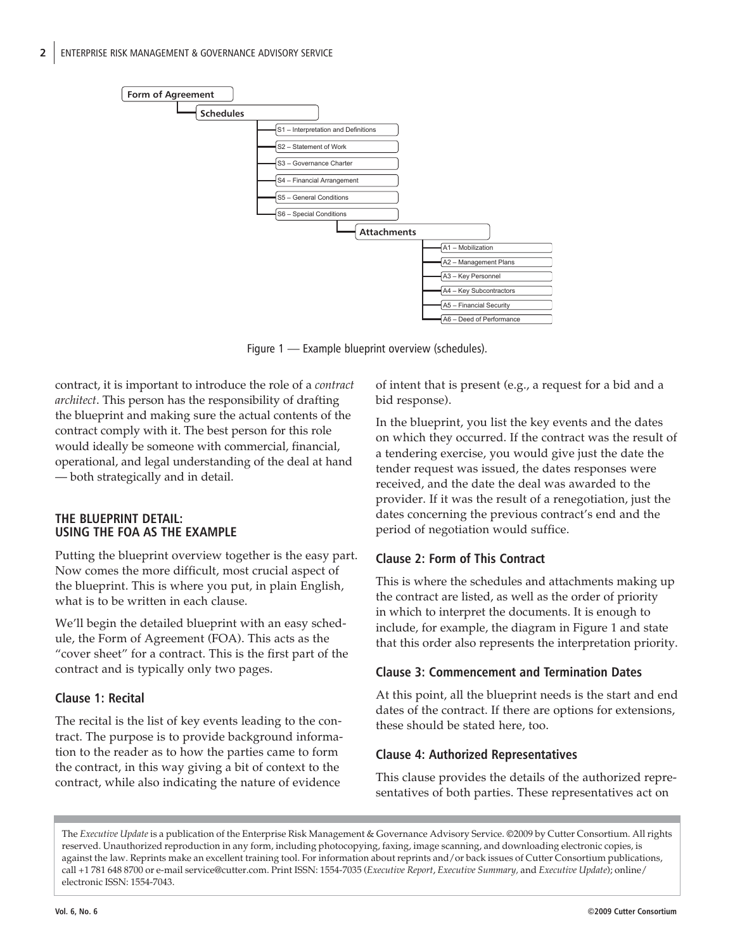

Figure 1 — Example blueprint overview (schedules).

contract, it is important to introduce the role of a *contract architect*. This person has the responsibility of drafting the blueprint and making sure the actual contents of the contract comply with it. The best person for this role would ideally be someone with commercial, financial, operational, and legal understanding of the deal at hand — both strategically and in detail.

## **THE BLUEPRINT DETAIL: USING THE FOA AS THE EXAMPLE**

Putting the blueprint overview together is the easy part. Now comes the more difficult, most crucial aspect of the blueprint. This is where you put, in plain English, what is to be written in each clause.

We'll begin the detailed blueprint with an easy schedule, the Form of Agreement (FOA). This acts as the "cover sheet" for a contract. This is the first part of the contract and is typically only two pages.

## **Clause 1: Recital**

The recital is the list of key events leading to the contract. The purpose is to provide background information to the reader as to how the parties came to form the contract, in this way giving a bit of context to the contract, while also indicating the nature of evidence

of intent that is present (e.g., a request for a bid and a bid response).

In the blueprint, you list the key events and the dates on which they occurred. If the contract was the result of a tendering exercise, you would give just the date the tender request was issued, the dates responses were received, and the date the deal was awarded to the provider. If it was the result of a renegotiation, just the dates concerning the previous contract's end and the period of negotiation would suffice.

## **Clause 2: Form of This Contract**

This is where the schedules and attachments making up the contract are listed, as well as the order of priority in which to interpret the documents. It is enough to include, for example, the diagram in Figure 1 and state that this order also represents the interpretation priority.

## **Clause 3: Commencement and Termination Dates**

At this point, all the blueprint needs is the start and end dates of the contract. If there are options for extensions, these should be stated here, too.

## **Clause 4: Authorized Representatives**

This clause provides the details of the authorized representatives of both parties. These representatives act on

The *Executive Update* is a publication of the Enterprise Risk Management & Governance Advisory Service. ©2009 by Cutter Consortium. All rights reserved. Unauthorized reproduction in any form, including photocopying, faxing, image scanning, and downloading electronic copies, is against the law. Reprints make an excellent training tool. For information about reprints and/or back issues of Cutter Consortium publications, call +1 781 648 8700 or e-[mail service@cutter.com. Prin](mailto:service@cutter.com)t ISSN: 1554-7035 (*Executive Report*, *Executive Summary,* and *Executive Update*); online/ electronic ISSN: 1554-7043.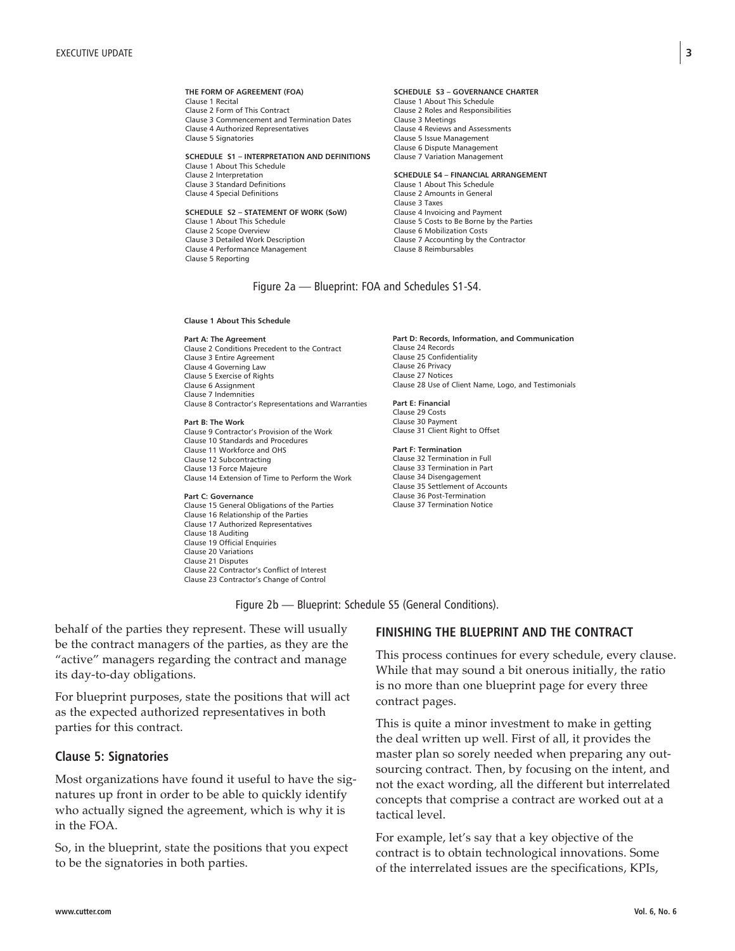#### **THE FORM OF AGREEMENT (FOA)** Clause 1 Recital

Clause 2 Form of This Contract Clause 3 Commencement and Termination Dates Clause 4 Authorized Representatives Clause 5 Signatories

**SCHEDULE S1 – INTERPRETATION AND DEFINITIONS** Clause 1 About This Schedule Clause 2 Interpretation Clause 3 Standard Definitions Clause 4 Special Definitions

**SCHEDULE S2 – STATEMENT OF WORK (SoW)**  Clause 1 About This Schedule Clause 2 Scope Overview Clause 3 Detailed Work Description Clause 4 Performance Management Clause 5 Reporting

#### **SCHEDULE S3 – GOVERNANCE CHARTER** Clause 1 About This Schedule Clause 2 Roles and Responsibilities Clause 3 Meetings Clause 4 Reviews and Assessments Clause 5 Issue Management Clause 6 Dispute Management Clause 7 Variation Management

#### **SCHEDULE S4 – FINANCIAL ARRANGEMENT**  Clause 1 About This Schedule Clause 2 Amounts in General Clause 3 Taxes Clause 4 Invoicing and Payment Clause 5 Costs to Be Borne by the Parties Clause 6 Mobilization Costs Clause 7 Accounting by the Contractor Clause 8 Reimbursables

### Figure 2a — Blueprint: FOA and Schedules S1-S4.

**Clause 1 About This Schedule**

#### **Part A: The Agreement**

Clause 2 Conditions Precedent to the Contract Clause 3 Entire Agreement Clause 4 Governing Law Clause 5 Exercise of Rights Clause 6 Assignment Clause 7 Indemnities Clause 8 Contractor's Representations and Warranties

#### **Part B: The Work**

Clause 9 Contractor's Provision of the Work Clause 10 Standards and Procedures Clause 11 Workforce and OHS Clause 12 Subcontracting Clause 13 Force Majeure Clause 14 Extension of Time to Perform the Work

#### **Part C: Governance**

Clause 15 General Obligations of the Parties Clause 16 Relationship of the Parties Clause 17 Authorized Representatives Clause 18 Auditing Clause 19 Official Enquiries Clause 20 Variations Clause 21 Disputes Clause 22 Contractor's Conflict of Interest Clause 23 Contractor's Change of Control

**Part D: Records, Information, and Communication** Clause 24 Records Clause 25 Confidentiality Clause 26 Privacy Clause 27 Notices Clause 28 Use of Client Name, Logo, and Testimonials

**Part E: Financial** Clause 29 Costs Clause 30 Payment Clause 31 Client Right to Offset

#### **Part F: Termination**

Clause 32 Termination in Full Clause 33 Termination in Part Clause 34 Disengagement Clause 35 Settlement of Accounts Clause 36 Post-Termination Clause 37 Termination Notice

Figure 2b — Blueprint: Schedule S5 (General Conditions).

behalf of the parties they represent. These will usually be the contract managers of the parties, as they are the "active" managers regarding the contract and manage its day-to-day obligations.

For blueprint purposes, state the positions that will act as the expected authorized representatives in both parties for this contract.

## **Clause 5: Signatories**

Most organizations have found it useful to have the signatures up front in order to be able to quickly identify who actually signed the agreement, which is why it is in the FOA.

So, in the blueprint, state the positions that you expect to be the signatories in both parties.

## **FINISHING THE BLUEPRINT AND THE CONTRACT**

This process continues for every schedule, every clause. While that may sound a bit onerous initially, the ratio is no more than one blueprint page for every three contract pages.

This is quite a minor investment to make in getting the deal written up well. First of all, it provides the master plan so sorely needed when preparing any outsourcing contract. Then, by focusing on the intent, and not the exact wording, all the different but interrelated concepts that comprise a contract are worked out at a tactical level.

For example, let's say that a key objective of the contract is to obtain technological innovations. Some of the interrelated issues are the specifications, KPIs,